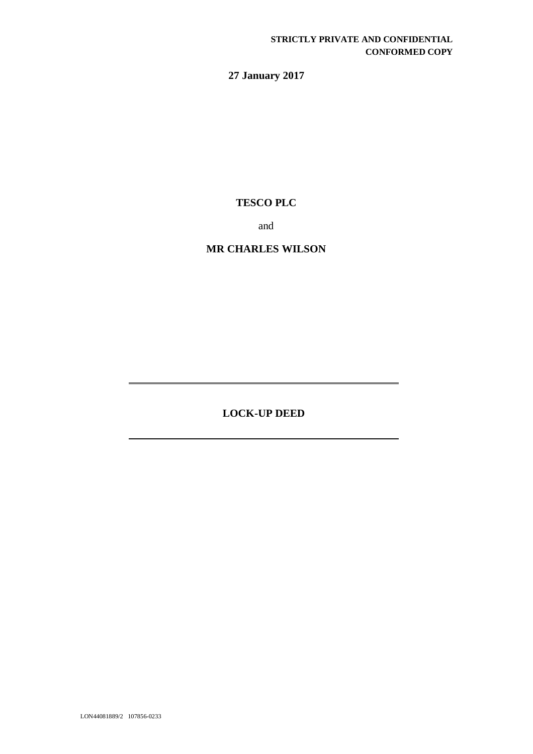# **27 January 2017**

# **TESCO PLC**

and

## **MR CHARLES WILSON**

**LOCK-UP DEED**

LON44081889/2 107856-0233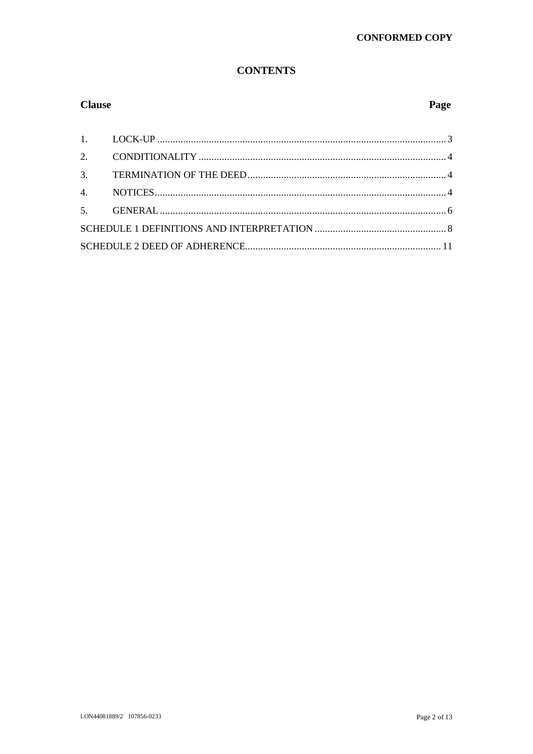## **CONTENTS**

## **Clause**

## Page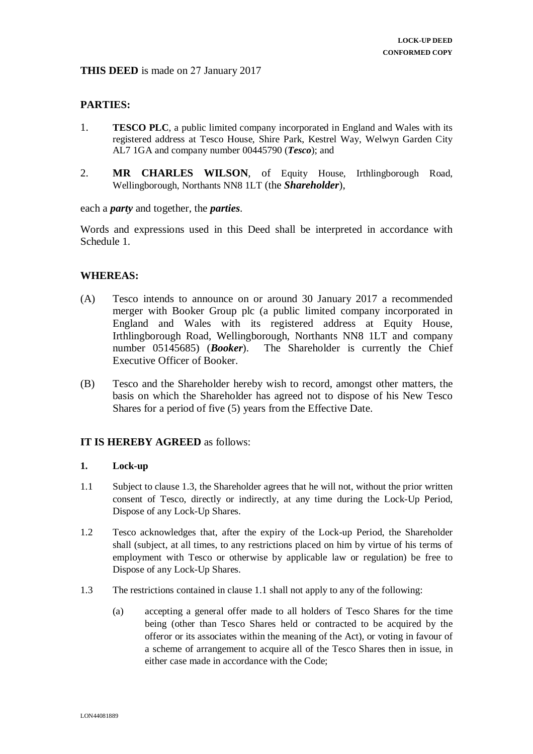## **PARTIES:**

- 1. **TESCO PLC**, a public limited company incorporated in England and Wales with its registered address at Tesco House, Shire Park, Kestrel Way, Welwyn Garden City AL7 1GA and company number 00445790 (*Tesco*); and
- 2. **MR CHARLES WILSON**, of Equity House, Irthlingborough Road, Wellingborough, Northants NN8 1LT (the *Shareholder*),

each a *party* and together, the *parties*.

Words and expressions used in this Deed shall be interpreted in accordance with Schedule 1.

## **WHEREAS:**

- (A) Tesco intends to announce on or around 30 January 2017 a recommended merger with Booker Group plc (a public limited company incorporated in England and Wales with its registered address at Equity House, Irthlingborough Road, Wellingborough, Northants NN8 1LT and company number 05145685) (*Booker*). The Shareholder is currently the Chief Executive Officer of Booker.
- (B) Tesco and the Shareholder hereby wish to record, amongst other matters, the basis on which the Shareholder has agreed not to dispose of his New Tesco Shares for a period of five (5) years from the Effective Date.

## **IT IS HEREBY AGREED** as follows:

#### **1. Lock-up**

- 1.1 Subject to clause 1.3, the Shareholder agrees that he will not, without the prior written consent of Tesco, directly or indirectly, at any time during the Lock-Up Period, Dispose of any Lock-Up Shares.
- 1.2 Tesco acknowledges that, after the expiry of the Lock-up Period, the Shareholder shall (subject, at all times, to any restrictions placed on him by virtue of his terms of employment with Tesco or otherwise by applicable law or regulation) be free to Dispose of any Lock-Up Shares.
- 1.3 The restrictions contained in clause 1.1 shall not apply to any of the following:
	- (a) accepting a general offer made to all holders of Tesco Shares for the time being (other than Tesco Shares held or contracted to be acquired by the offeror or its associates within the meaning of the Act), or voting in favour of a scheme of arrangement to acquire all of the Tesco Shares then in issue, in either case made in accordance with the Code;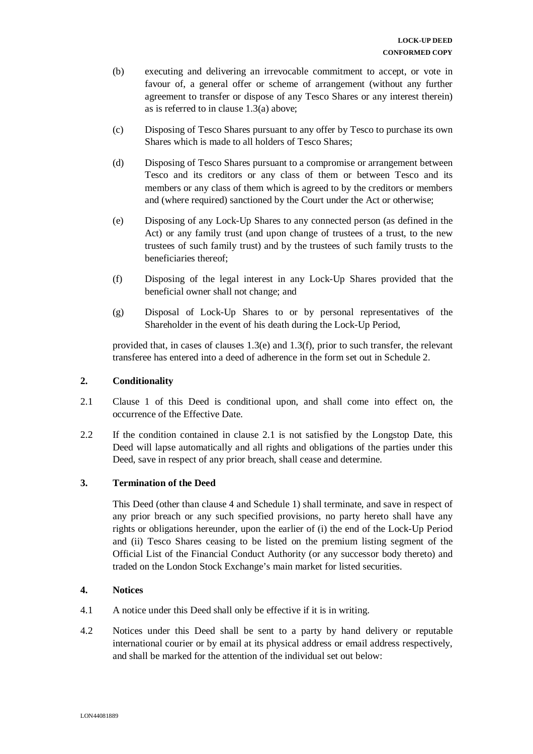- (b) executing and delivering an irrevocable commitment to accept, or vote in favour of, a general offer or scheme of arrangement (without any further agreement to transfer or dispose of any Tesco Shares or any interest therein) as is referred to in clause 1.3(a) above;
- (c) Disposing of Tesco Shares pursuant to any offer by Tesco to purchase its own Shares which is made to all holders of Tesco Shares;
- (d) Disposing of Tesco Shares pursuant to a compromise or arrangement between Tesco and its creditors or any class of them or between Tesco and its members or any class of them which is agreed to by the creditors or members and (where required) sanctioned by the Court under the Act or otherwise;
- (e) Disposing of any Lock-Up Shares to any connected person (as defined in the Act) or any family trust (and upon change of trustees of a trust, to the new trustees of such family trust) and by the trustees of such family trusts to the beneficiaries thereof;
- (f) Disposing of the legal interest in any Lock-Up Shares provided that the beneficial owner shall not change; and
- (g) Disposal of Lock-Up Shares to or by personal representatives of the Shareholder in the event of his death during the Lock-Up Period,

provided that, in cases of clauses 1.3(e) and 1.3(f), prior to such transfer, the relevant transferee has entered into a deed of adherence in the form set out in Schedule 2.

#### **2. Conditionality**

- 2.1 Clause 1 of this Deed is conditional upon, and shall come into effect on, the occurrence of the Effective Date.
- 2.2 If the condition contained in clause 2.1 is not satisfied by the Longstop Date, this Deed will lapse automatically and all rights and obligations of the parties under this Deed, save in respect of any prior breach, shall cease and determine.

#### **3. Termination of the Deed**

This Deed (other than clause 4 and Schedule 1) shall terminate, and save in respect of any prior breach or any such specified provisions, no party hereto shall have any rights or obligations hereunder, upon the earlier of (i) the end of the Lock-Up Period and (ii) Tesco Shares ceasing to be listed on the premium listing segment of the Official List of the Financial Conduct Authority (or any successor body thereto) and traded on the London Stock Exchange's main market for listed securities.

#### **4. Notices**

- 4.1 A notice under this Deed shall only be effective if it is in writing.
- 4.2 Notices under this Deed shall be sent to a party by hand delivery or reputable international courier or by email at its physical address or email address respectively, and shall be marked for the attention of the individual set out below: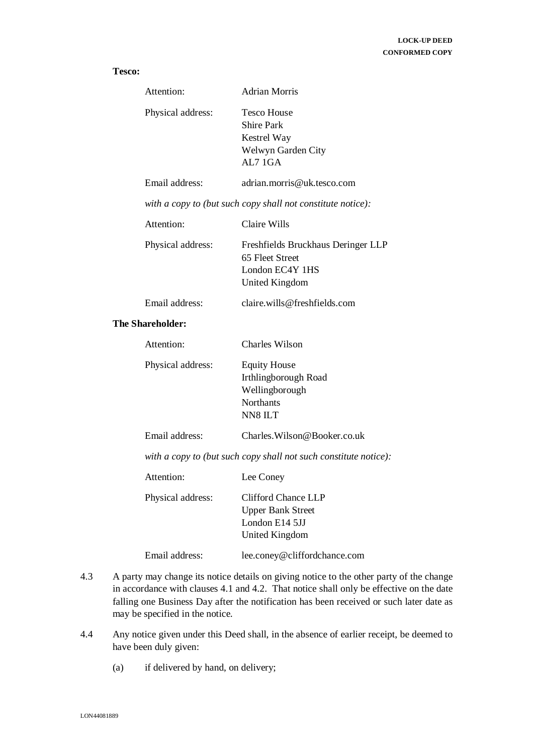#### **Tesco:**

| Attention:        | Adrian Morris                                                                           |
|-------------------|-----------------------------------------------------------------------------------------|
| Physical address: | Tesco House<br><b>Shire Park</b><br><b>Kestrel Way</b><br>Welwyn Garden City<br>AL7 1GA |
| Email address:    | adrian.morris@uk.tesco.com                                                              |

*with a copy to (but such copy shall not constitute notice):* 

| Attention: | Claire Wills |
|------------|--------------|
|            |              |

| Freshfields Bruckhaus Deringer LLP |
|------------------------------------|
| 65 Fleet Street                    |
| London EC4Y 1HS                    |
| United Kingdom                     |
|                                    |

Email address: claire.wills@freshfields.com

#### **The Shareholder:**

| Attention:        | Charles Wilson       |
|-------------------|----------------------|
| Physical address: | <b>Equity House</b>  |
|                   | Irthlingborough Road |
|                   | Wellingborough       |
|                   | <b>Northants</b>     |
|                   | NN8 ILT              |

Email address: Charles.Wilson@Booker.co.uk

*with a copy to (but such copy shall not such constitute notice):* 

| Attention:        | Lee Coney                                                                           |
|-------------------|-------------------------------------------------------------------------------------|
| Physical address: | Clifford Chance LLP<br><b>Upper Bank Street</b><br>London E14 5JJ<br>United Kingdom |
| Email address:    | lee.coney@cliffordchance.com                                                        |

- 4.3 A party may change its notice details on giving notice to the other party of the change in accordance with clauses 4.1 and 4.2. That notice shall only be effective on the date falling one Business Day after the notification has been received or such later date as may be specified in the notice.
- 4.4 Any notice given under this Deed shall, in the absence of earlier receipt, be deemed to have been duly given:
	- (a) if delivered by hand, on delivery;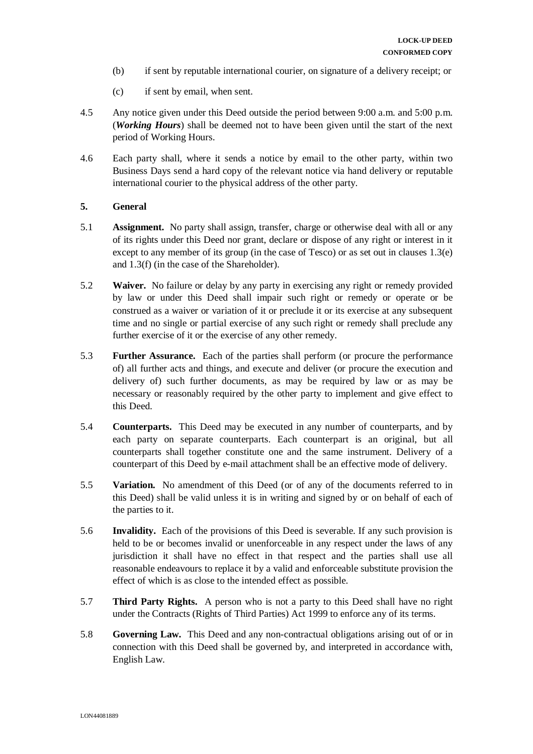- (b) if sent by reputable international courier, on signature of a delivery receipt; or
- (c) if sent by email, when sent.
- 4.5 Any notice given under this Deed outside the period between 9:00 a.m. and 5:00 p.m. (*Working Hours*) shall be deemed not to have been given until the start of the next period of Working Hours.
- 4.6 Each party shall, where it sends a notice by email to the other party, within two Business Days send a hard copy of the relevant notice via hand delivery or reputable international courier to the physical address of the other party.

### **5. General**

- 5.1 **Assignment.** No party shall assign, transfer, charge or otherwise deal with all or any of its rights under this Deed nor grant, declare or dispose of any right or interest in it except to any member of its group (in the case of Tesco) or as set out in clauses 1.3(e) and 1.3(f) (in the case of the Shareholder).
- 5.2 **Waiver.** No failure or delay by any party in exercising any right or remedy provided by law or under this Deed shall impair such right or remedy or operate or be construed as a waiver or variation of it or preclude it or its exercise at any subsequent time and no single or partial exercise of any such right or remedy shall preclude any further exercise of it or the exercise of any other remedy.
- 5.3 **Further Assurance.** Each of the parties shall perform (or procure the performance of) all further acts and things, and execute and deliver (or procure the execution and delivery of) such further documents, as may be required by law or as may be necessary or reasonably required by the other party to implement and give effect to this Deed.
- 5.4 **Counterparts.** This Deed may be executed in any number of counterparts, and by each party on separate counterparts. Each counterpart is an original, but all counterparts shall together constitute one and the same instrument. Delivery of a counterpart of this Deed by e-mail attachment shall be an effective mode of delivery.
- 5.5 **Variation.** No amendment of this Deed (or of any of the documents referred to in this Deed) shall be valid unless it is in writing and signed by or on behalf of each of the parties to it.
- 5.6 **Invalidity.** Each of the provisions of this Deed is severable. If any such provision is held to be or becomes invalid or unenforceable in any respect under the laws of any jurisdiction it shall have no effect in that respect and the parties shall use all reasonable endeavours to replace it by a valid and enforceable substitute provision the effect of which is as close to the intended effect as possible.
- 5.7 **Third Party Rights.** A person who is not a party to this Deed shall have no right under the Contracts (Rights of Third Parties) Act 1999 to enforce any of its terms.
- 5.8 **Governing Law.** This Deed and any non-contractual obligations arising out of or in connection with this Deed shall be governed by, and interpreted in accordance with, English Law.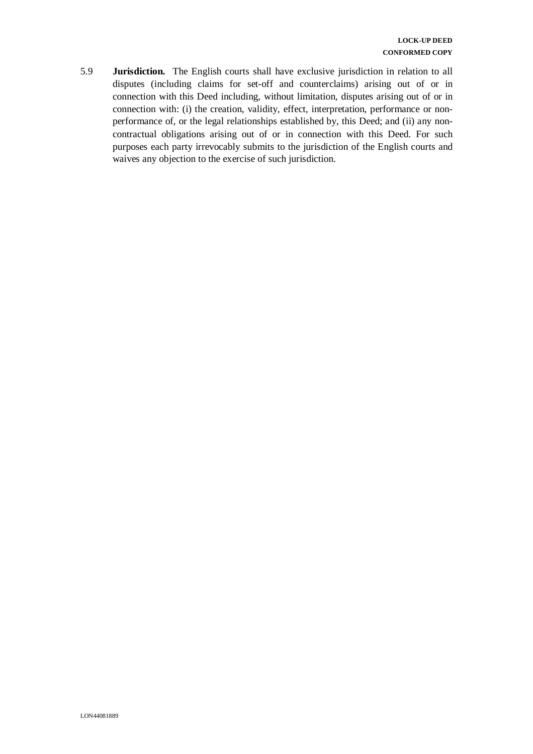5.9 **Jurisdiction.** The English courts shall have exclusive jurisdiction in relation to all disputes (including claims for set-off and counterclaims) arising out of or in connection with this Deed including, without limitation, disputes arising out of or in connection with: (i) the creation, validity, effect, interpretation, performance or nonperformance of, or the legal relationships established by, this Deed; and (ii) any noncontractual obligations arising out of or in connection with this Deed. For such purposes each party irrevocably submits to the jurisdiction of the English courts and waives any objection to the exercise of such jurisdiction.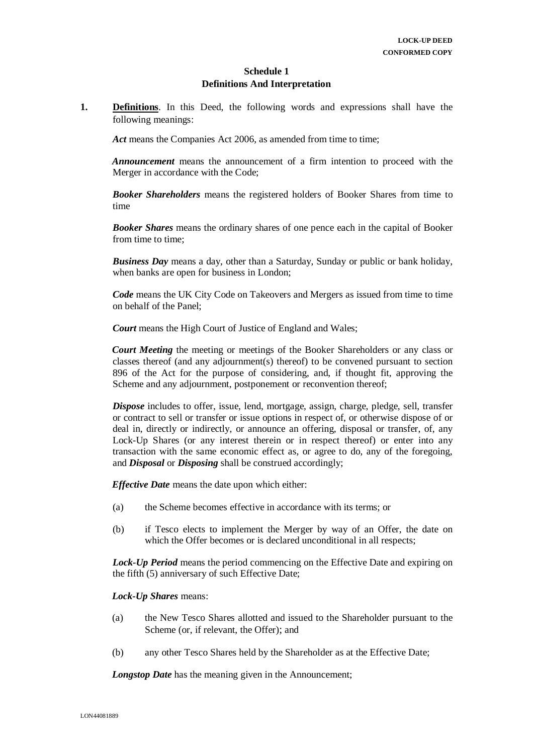#### **Schedule 1 Definitions And Interpretation**

**1. Definitions**. In this Deed, the following words and expressions shall have the following meanings:

Act means the Companies Act 2006, as amended from time to time:

*Announcement* means the announcement of a firm intention to proceed with the Merger in accordance with the Code;

*Booker Shareholders* means the registered holders of Booker Shares from time to time

*Booker Shares* means the ordinary shares of one pence each in the capital of Booker from time to time;

*Business Day* means a day, other than a Saturday, Sunday or public or bank holiday, when banks are open for business in London;

*Code* means the UK City Code on Takeovers and Mergers as issued from time to time on behalf of the Panel;

*Court* means the High Court of Justice of England and Wales;

*Court Meeting* the meeting or meetings of the Booker Shareholders or any class or classes thereof (and any adjournment(s) thereof) to be convened pursuant to section 896 of the Act for the purpose of considering, and, if thought fit, approving the Scheme and any adjournment, postponement or reconvention thereof;

*Dispose* includes to offer, issue, lend, mortgage, assign, charge, pledge, sell, transfer or contract to sell or transfer or issue options in respect of, or otherwise dispose of or deal in, directly or indirectly, or announce an offering, disposal or transfer, of, any Lock-Up Shares (or any interest therein or in respect thereof) or enter into any transaction with the same economic effect as, or agree to do, any of the foregoing, and *Disposal* or *Disposing* shall be construed accordingly;

*Effective Date* means the date upon which either:

- (a) the Scheme becomes effective in accordance with its terms; or
- (b) if Tesco elects to implement the Merger by way of an Offer, the date on which the Offer becomes or is declared unconditional in all respects;

*Lock-Up Period* means the period commencing on the Effective Date and expiring on the fifth (5) anniversary of such Effective Date;

#### *Lock-Up Shares* means:

- (a) the New Tesco Shares allotted and issued to the Shareholder pursuant to the Scheme (or, if relevant, the Offer); and
- (b) any other Tesco Shares held by the Shareholder as at the Effective Date;

*Longstop Date* has the meaning given in the Announcement;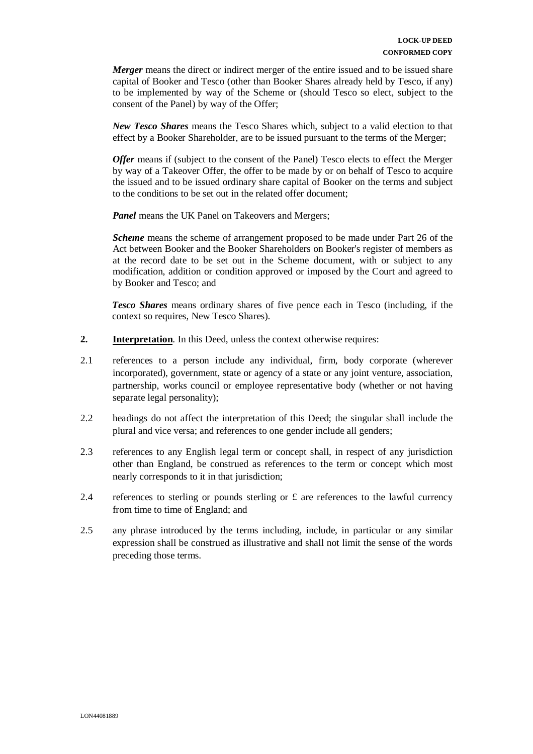*Merger* means the direct or indirect merger of the entire issued and to be issued share capital of Booker and Tesco (other than Booker Shares already held by Tesco, if any) to be implemented by way of the Scheme or (should Tesco so elect, subject to the consent of the Panel) by way of the Offer;

*New Tesco Shares* means the Tesco Shares which, subject to a valid election to that effect by a Booker Shareholder, are to be issued pursuant to the terms of the Merger;

*Offer* means if (subject to the consent of the Panel) Tesco elects to effect the Merger by way of a Takeover Offer, the offer to be made by or on behalf of Tesco to acquire the issued and to be issued ordinary share capital of Booker on the terms and subject to the conditions to be set out in the related offer document;

*Panel* means the UK Panel on Takeovers and Mergers;

*Scheme* means the scheme of arrangement proposed to be made under Part 26 of the Act between Booker and the Booker Shareholders on Booker's register of members as at the record date to be set out in the Scheme document, with or subject to any modification, addition or condition approved or imposed by the Court and agreed to by Booker and Tesco; and

*Tesco Shares* means ordinary shares of five pence each in Tesco (including, if the context so requires, New Tesco Shares).

- **2. Interpretation**. In this Deed, unless the context otherwise requires:
- 2.1 references to a person include any individual, firm, body corporate (wherever incorporated), government, state or agency of a state or any joint venture, association, partnership, works council or employee representative body (whether or not having separate legal personality);
- 2.2 headings do not affect the interpretation of this Deed; the singular shall include the plural and vice versa; and references to one gender include all genders;
- 2.3 references to any English legal term or concept shall, in respect of any jurisdiction other than England, be construed as references to the term or concept which most nearly corresponds to it in that jurisdiction;
- 2.4 references to sterling or pounds sterling or  $\pounds$  are references to the lawful currency from time to time of England; and
- 2.5 any phrase introduced by the terms including, include, in particular or any similar expression shall be construed as illustrative and shall not limit the sense of the words preceding those terms.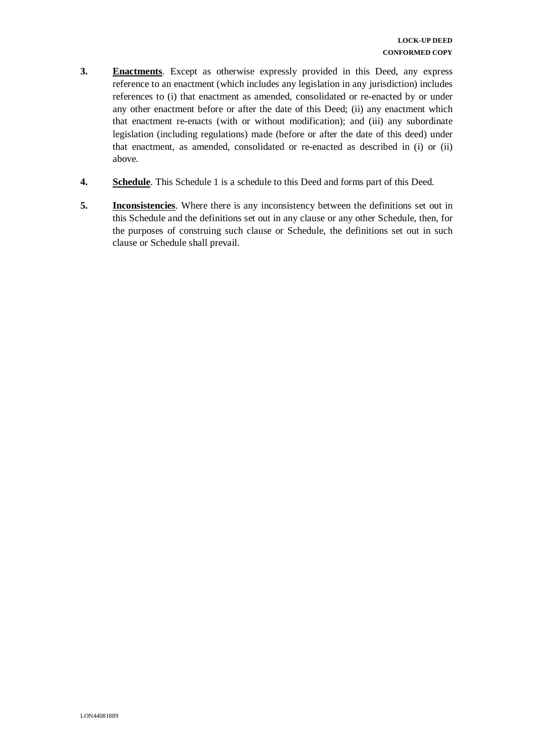- **3. Enactments**. Except as otherwise expressly provided in this Deed, any express reference to an enactment (which includes any legislation in any jurisdiction) includes references to (i) that enactment as amended, consolidated or re-enacted by or under any other enactment before or after the date of this Deed; (ii) any enactment which that enactment re-enacts (with or without modification); and (iii) any subordinate legislation (including regulations) made (before or after the date of this deed) under that enactment, as amended, consolidated or re-enacted as described in (i) or (ii) above.
- **4. Schedule**. This Schedule 1 is a schedule to this Deed and forms part of this Deed.
- **5. Inconsistencies**. Where there is any inconsistency between the definitions set out in this Schedule and the definitions set out in any clause or any other Schedule, then, for the purposes of construing such clause or Schedule, the definitions set out in such clause or Schedule shall prevail.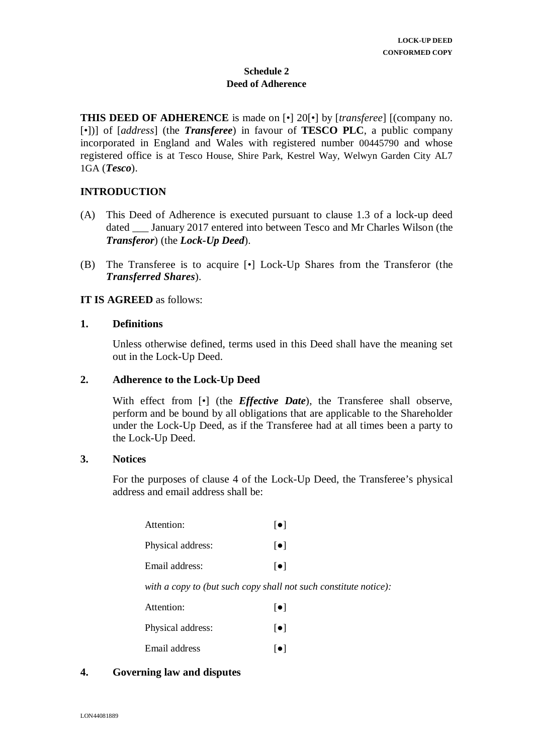## **Schedule 2 Deed of Adherence**

**THIS DEED OF ADHERENCE** is made on [•] 20[•] by [*transferee*] [(company no. [•])] of [*address*] (the *Transferee*) in favour of **TESCO PLC**, a public company incorporated in England and Wales with registered number 00445790 and whose registered office is at Tesco House, Shire Park, Kestrel Way, Welwyn Garden City AL7 1GA (*Tesco*).

## **INTRODUCTION**

- (A) This Deed of Adherence is executed pursuant to clause 1.3 of a lock-up deed dated \_\_\_ January 2017 entered into between Tesco and Mr Charles Wilson (the *Transferor*) (the *Lock-Up Deed*).
- (B) The Transferee is to acquire [•] Lock-Up Shares from the Transferor (the *Transferred Shares*).

## **IT IS AGREED** as follows:

### **1. Definitions**

Unless otherwise defined, terms used in this Deed shall have the meaning set out in the Lock-Up Deed.

## **2. Adherence to the Lock-Up Deed**

With effect from  $\lceil \cdot \rceil$  (the *Effective Date*), the Transferee shall observe, perform and be bound by all obligations that are applicable to the Shareholder under the Lock-Up Deed, as if the Transferee had at all times been a party to the Lock-Up Deed.

### **3. Notices**

For the purposes of clause 4 of the Lock-Up Deed, the Transferee's physical address and email address shall be:

| Attention:                             | $  \bullet  $           |
|----------------------------------------|-------------------------|
| Physical address:                      | $  \bullet  $           |
| Email address:                         | $\lceil \bullet \rceil$ |
| with a conv to (but such conv shall no |                         |

*with a copy to (but such copy shall not such constitute notice):* 

| Attention:        | $\lceil \bullet \rceil$ |
|-------------------|-------------------------|
| Physical address: | $\lceil \bullet \rceil$ |

- 
- Email address [ $\bullet$ ]

## **4. Governing law and disputes**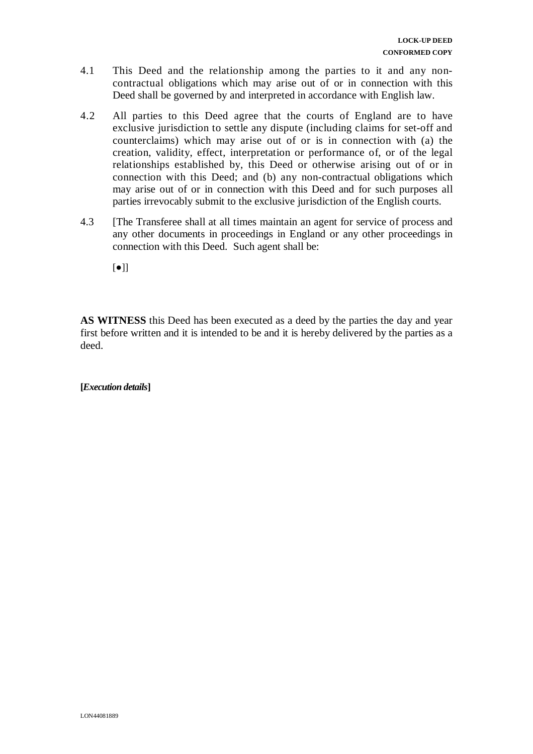- 4.1 This Deed and the relationship among the parties to it and any noncontractual obligations which may arise out of or in connection with this Deed shall be governed by and interpreted in accordance with English law.
- 4.2 All parties to this Deed agree that the courts of England are to have exclusive jurisdiction to settle any dispute (including claims for set-off and counterclaims) which may arise out of or is in connection with (a) the creation, validity, effect, interpretation or performance of, or of the legal relationships established by, this Deed or otherwise arising out of or in connection with this Deed; and (b) any non-contractual obligations which may arise out of or in connection with this Deed and for such purposes all parties irrevocably submit to the exclusive jurisdiction of the English courts.
- 4.3 [The Transferee shall at all times maintain an agent for service of process and any other documents in proceedings in England or any other proceedings in connection with this Deed. Such agent shall be:
	- [●]]

**AS WITNESS** this Deed has been executed as a deed by the parties the day and year first before written and it is intended to be and it is hereby delivered by the parties as a deed.

**[***Execution details***]**